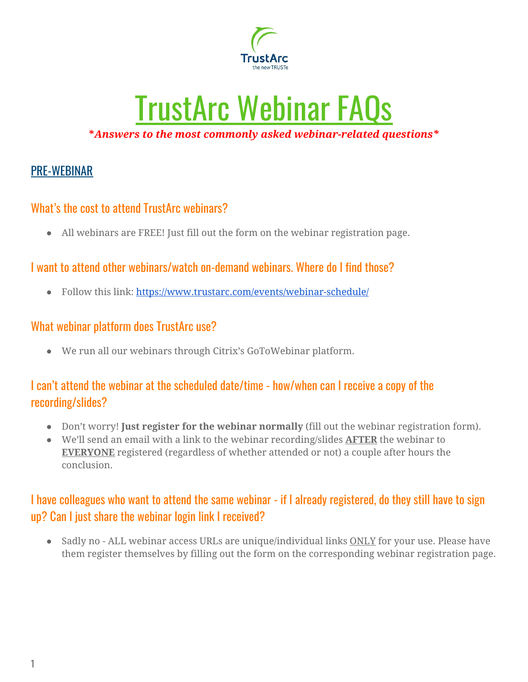

# TrustArc Webinar FAQs *\*Answers to the most commonly asked webinar-related questions\**

# PRE-WEBINAR

## What's the cost to attend TrustArc webinars?

● All webinars are FREE! Just fill out the form on the webinar registration page.

## I want to attend other webinars/watch on-demand webinars. Where do I find those?

• Follow this link: <https://www.trustarc.com/events/webinar-schedule/>

#### What webinar platform does TrustArc use?

● We run all our webinars through Citrix's GoToWebinar platform.

## I can't attend the webinar at the scheduled date/time - how/when can I receive a copy of the recording/slides?

- Don't worry! **Just register for the webinar normally** (fill out the webinar registration form).
- We'll send an email with a link to the webinar recording/slides **AFTER** the webinar to **EVERYONE** registered (regardless of whether attended or not) a couple after hours the conclusion.

## I have colleagues who want to attend the same webinar - if I already registered, do they still have to sign up? Can I just share the webinar login link I received?

• Sadly no - ALL webinar access URLs are unique/individual links ONLY for your use. Please have them register themselves by filling out the form on the corresponding webinar registration page.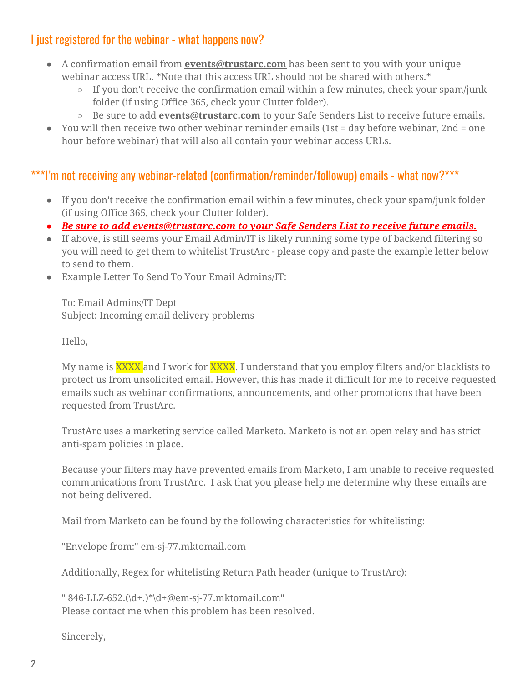## I just registered for the webinar - what happens now?

- A confirmation email from **events@trustarc.com** has been sent to you with your unique webinar access URL. \*Note that this access URL should not be shared with others.\*
	- $\circ$  If you don't receive the confirmation email within a few minutes, check your spam/junk folder (if using Office 365, check your Clutter folder).
	- Be sure to add **events@trustarc.com** to your Safe Senders List to receive future emails.
- $\bullet$  You will then receive two other webinar reminder emails (1st = day before webinar, 2nd = one hour before webinar) that will also all contain your webinar access URLs.

## \*\*\*I'm not receiving any webinar-related (confirmation/reminder/followup) emails - what now?\*\*\*

- If you don't receive the confirmation email within a few minutes, check your spam/junk folder (if using Office 365, check your Clutter folder).
- *● Be sure to add events@trustarc.com to your Safe Senders List to receive future emails.*
- If above, is still seems your Email Admin/IT is likely running some type of backend filtering so you will need to get them to whitelist TrustArc - please copy and paste the example letter below to send to them.
- Example Letter To Send To Your Email Admins/IT:

To: Email Admins/IT Dept Subject: Incoming email delivery problems

Hello,

My name is **XXXX** and I work for **XXXX**. I understand that you employ filters and/or blacklists to protect us from unsolicited email. However, this has made it difficult for me to receive requested emails such as webinar confirmations, announcements, and other promotions that have been requested from TrustArc.

TrustArc uses a marketing service called Marketo. Marketo is not an open relay and has strict anti-spam policies in place.

Because your filters may have prevented emails from Marketo, I am unable to receive requested communications from TrustArc. I ask that you please help me determine why these emails are not being delivered.

Mail from Marketo can be found by the following characteristics for whitelisting:

"Envelope from:" em-sj-77.mktomail.com

Additionally, Regex for whitelisting Return Path header (unique to TrustArc):

" 846-LLZ-652.(\d+.)\*\d+@em-sj-77.mktomail.com" Please contact me when this problem has been resolved.

Sincerely,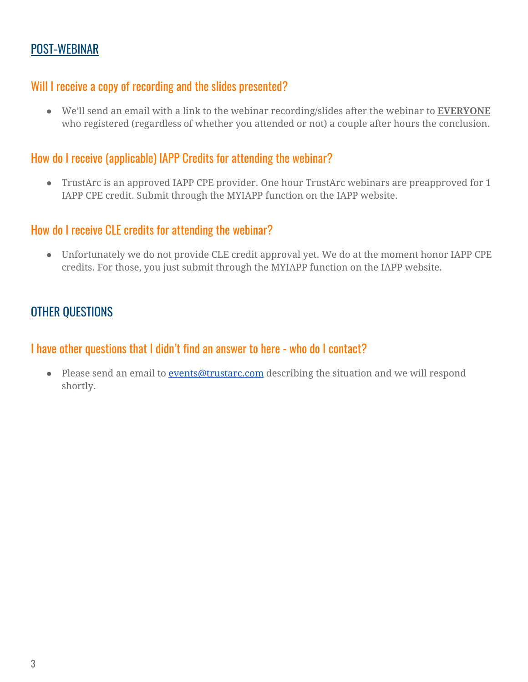## POST-WEBINAR

#### Will I receive a copy of recording and the slides presented?

● We'll send an email with a link to the webinar recording/slides after the webinar to **EVERYONE** who registered (regardless of whether you attended or not) a couple after hours the conclusion.

#### How do I receive (applicable) IAPP Credits for attending the webinar?

● TrustArc is an approved IAPP CPE provider. One hour TrustArc webinars are preapproved for 1 IAPP CPE credit. Submit through the MYIAPP function on the IAPP website.

#### How do I receive CLE credits for attending the webinar?

● Unfortunately we do not provide CLE credit approval yet. We do at the moment honor IAPP CPE credits. For those, you just submit through the MYIAPP function on the IAPP website.

## OTHER QUESTIONS

#### I have other questions that I didn't find an answer to here - who do I contact?

• Please send an email to **[events@trustarc.com](mailto:events@trustarc.com)** describing the situation and we will respond shortly.